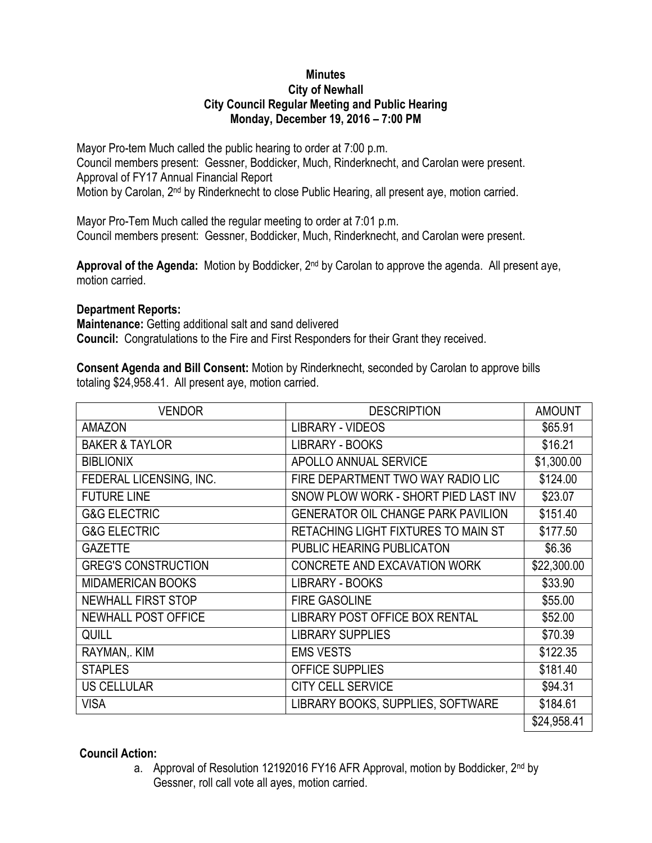## **Minutes City of Newhall City Council Regular Meeting and Public Hearing Monday, December 19, 2016 – 7:00 PM**

Mayor Pro-tem Much called the public hearing to order at 7:00 p.m. Council members present: Gessner, Boddicker, Much, Rinderknecht, and Carolan were present. Approval of FY17 Annual Financial Report Motion by Carolan, 2<sup>nd</sup> by Rinderknecht to close Public Hearing, all present aye, motion carried.

Mayor Pro-Tem Much called the regular meeting to order at 7:01 p.m. Council members present: Gessner, Boddicker, Much, Rinderknecht, and Carolan were present.

**Approval of the Agenda:** Motion by Boddicker, 2nd by Carolan to approve the agenda. All present aye, motion carried.

## **Department Reports:**

**Maintenance:** Getting additional salt and sand delivered **Council:** Congratulations to the Fire and First Responders for their Grant they received.

**Consent Agenda and Bill Consent:** Motion by Rinderknecht, seconded by Carolan to approve bills totaling \$24,958.41. All present aye, motion carried.

| <b>VENDOR</b>              | <b>DESCRIPTION</b>                        | <b>AMOUNT</b> |
|----------------------------|-------------------------------------------|---------------|
| <b>AMAZON</b>              | <b>LIBRARY - VIDEOS</b>                   | \$65.91       |
| <b>BAKER &amp; TAYLOR</b>  | <b>LIBRARY - BOOKS</b>                    | \$16.21       |
| <b>BIBLIONIX</b>           | APOLLO ANNUAL SERVICE                     | \$1,300.00    |
| FEDERAL LICENSING, INC.    | FIRE DEPARTMENT TWO WAY RADIO LIC         | \$124.00      |
| <b>FUTURE LINE</b>         | SNOW PLOW WORK - SHORT PIED LAST INV      | \$23.07       |
| <b>G&amp;G ELECTRIC</b>    | <b>GENERATOR OIL CHANGE PARK PAVILION</b> | \$151.40      |
| <b>G&amp;G ELECTRIC</b>    | RETACHING LIGHT FIXTURES TO MAIN ST       | \$177.50      |
| <b>GAZETTE</b>             | <b>PUBLIC HEARING PUBLICATON</b>          | \$6.36        |
| <b>GREG'S CONSTRUCTION</b> | CONCRETE AND EXCAVATION WORK              | \$22,300.00   |
| <b>MIDAMERICAN BOOKS</b>   | <b>LIBRARY - BOOKS</b>                    | \$33.90       |
| <b>NEWHALL FIRST STOP</b>  | <b>FIRE GASOLINE</b>                      | \$55.00       |
| NEWHALL POST OFFICE        | LIBRARY POST OFFICE BOX RENTAL            | \$52.00       |
| <b>QUILL</b>               | <b>LIBRARY SUPPLIES</b>                   | \$70.39       |
| RAYMAN, KIM                | <b>EMS VESTS</b>                          | \$122.35      |
| <b>STAPLES</b>             | <b>OFFICE SUPPLIES</b>                    | \$181.40      |
| <b>US CELLULAR</b>         | <b>CITY CELL SERVICE</b>                  | \$94.31       |
| <b>VISA</b>                | LIBRARY BOOKS, SUPPLIES, SOFTWARE         | \$184.61      |
|                            |                                           | \$24,958.41   |

## **Council Action:**

a. Approval of Resolution 12192016 FY16 AFR Approval, motion by Boddicker, 2<sup>nd</sup> by Gessner, roll call vote all ayes, motion carried.